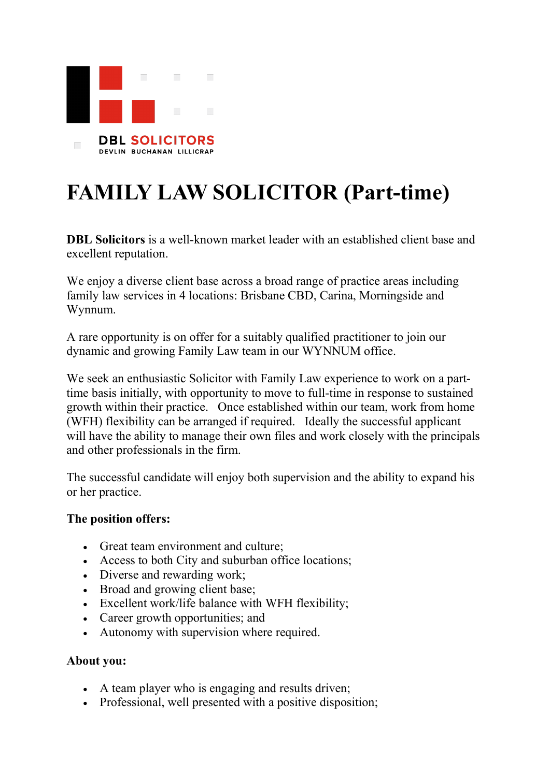

## **FAMILY LAW SOLICITOR (Part-time)**

**DBL Solicitors** is a well-known market leader with an established client base and excellent reputation.

We enjoy a diverse client base across a broad range of practice areas including family law services in 4 locations: Brisbane CBD, Carina, Morningside and Wynnum.

A rare opportunity is on offer for a suitably qualified practitioner to join our dynamic and growing Family Law team in our WYNNUM office.

We seek an enthusiastic Solicitor with Family Law experience to work on a parttime basis initially, with opportunity to move to full-time in response to sustained growth within their practice. Once established within our team, work from home (WFH) flexibility can be arranged if required. Ideally the successful applicant will have the ability to manage their own files and work closely with the principals and other professionals in the firm.

The successful candidate will enjoy both supervision and the ability to expand his or her practice.

## **The position offers:**

- Great team environment and culture;
- Access to both City and suburban office locations;
- Diverse and rewarding work;
- Broad and growing client base;
- Excellent work/life balance with WFH flexibility;
- Career growth opportunities; and
- Autonomy with supervision where required.

## **About you:**

- A team player who is engaging and results driven;
- Professional, well presented with a positive disposition;